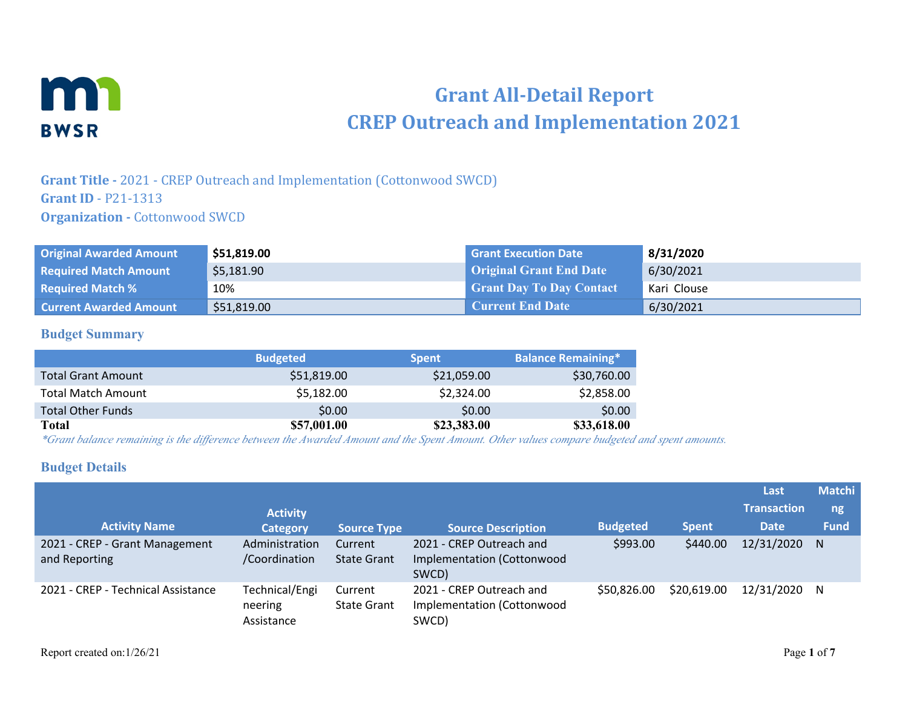

# **Grant All-Detail Report CREP Outreach and Implementation 2021**

**Grant Title -** 2021 - CREP Outreach and Implementation (Cottonwood SWCD) **Grant ID** - P21-1313 **Organization - Cottonwood SWCD** 

| <b>Original Awarded Amount</b> | \$51,819.00 | <b>Grant Execution Date</b>     | 8/31/2020   |
|--------------------------------|-------------|---------------------------------|-------------|
| <b>Required Match Amount</b>   | \$5,181.90  | <b>Original Grant End Date</b>  | 6/30/2021   |
| <b>Required Match %</b>        | 10%         | <b>Grant Day To Day Contact</b> | Kari Clouse |
| <b>Current Awarded Amount</b>  | \$51,819.00 | <b>Current End Date</b>         | 6/30/2021   |

#### **Budget Summary**

|                           | <b>Budgeted</b> | <b>Spent</b> | <b>Balance Remaining*</b> |
|---------------------------|-----------------|--------------|---------------------------|
| <b>Total Grant Amount</b> | \$51,819.00     | \$21,059.00  | \$30,760.00               |
| <b>Total Match Amount</b> | \$5,182.00      | \$2,324.00   | \$2,858.00                |
| <b>Total Other Funds</b>  | \$0.00          | \$0.00       | \$0.00                    |
| Total                     | \$57,001.00     | \$23,383.00  | \$33,618.00               |

*\*Grant balance remaining is the difference between the Awarded Amount and the Spent Amount. Other values compare budgeted and spent amounts.*

### **Budget Details**

|                                                 |                                         |                               |                                                                 |                 |              | Last               | <b>Matchi</b> |
|-------------------------------------------------|-----------------------------------------|-------------------------------|-----------------------------------------------------------------|-----------------|--------------|--------------------|---------------|
|                                                 | <b>Activity</b>                         |                               |                                                                 |                 |              | <b>Transaction</b> | ng            |
| <b>Activity Name</b>                            | <b>Category</b>                         | <b>Source Type</b>            | <b>Source Description</b>                                       | <b>Budgeted</b> | <b>Spent</b> | <b>Date</b>        | <b>Fund</b>   |
| 2021 - CREP - Grant Management<br>and Reporting | Administration<br>/Coordination         | Current<br><b>State Grant</b> | 2021 - CREP Outreach and<br>Implementation (Cottonwood<br>SWCD) | \$993.00        | \$440.00     | 12/31/2020         | N.            |
| 2021 - CREP - Technical Assistance              | Technical/Engi<br>neering<br>Assistance | Current<br><b>State Grant</b> | 2021 - CREP Outreach and<br>Implementation (Cottonwood<br>SWCD) | \$50,826.00     | \$20,619.00  | 12/31/2020         | N.            |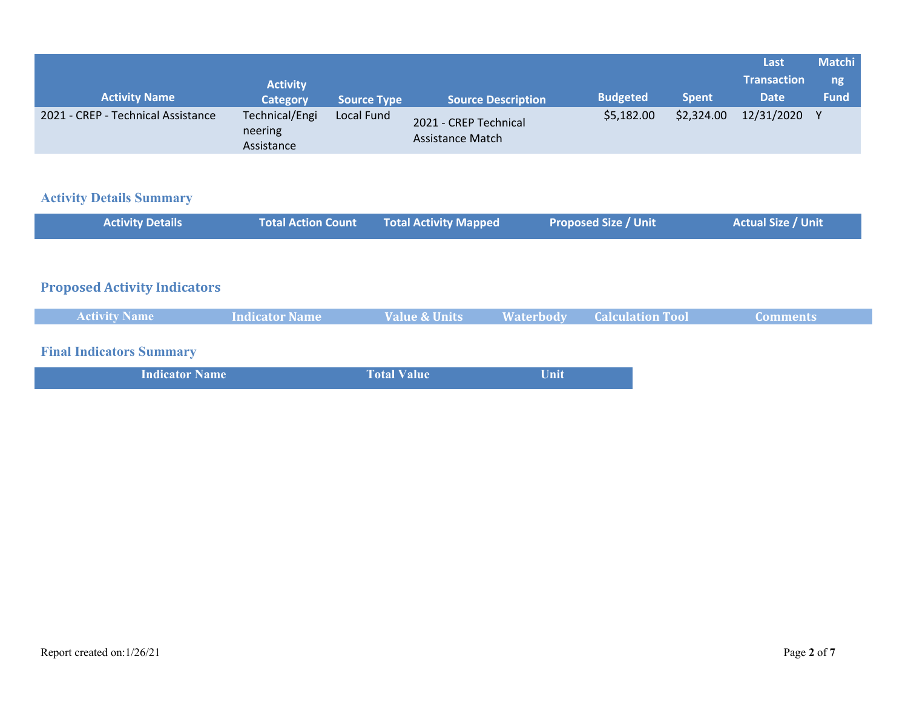|                                    |                                         |                    |                                           |                 |              | Last               | <b>Matchi</b> |
|------------------------------------|-----------------------------------------|--------------------|-------------------------------------------|-----------------|--------------|--------------------|---------------|
|                                    | <b>Activity</b>                         |                    |                                           |                 |              | <b>Transaction</b> | ng            |
| <b>Activity Name</b>               | <b>Category</b>                         | <b>Source Type</b> | <b>Source Description</b>                 | <b>Budgeted</b> | <b>Spent</b> | <b>Date</b>        | <b>Fund</b>   |
| 2021 - CREP - Technical Assistance | Technical/Engi<br>neering<br>Assistance | Local Fund         | 2021 - CREP Technical<br>Assistance Match | \$5,182.00      | \$2,324.00   | 12/31/2020         |               |

## **Activity Details Summary**

| <b>Activity Details</b>                                                                                                                                   | <b>Total Action Count</b> | <b>Total Activity Mapped</b> | <b>Proposed Size / Unit</b>                   |                         | <b>Actual Size / Unit</b> |
|-----------------------------------------------------------------------------------------------------------------------------------------------------------|---------------------------|------------------------------|-----------------------------------------------|-------------------------|---------------------------|
|                                                                                                                                                           |                           |                              |                                               |                         |                           |
| <b>Proposed Activity Indicators</b>                                                                                                                       |                           |                              |                                               |                         |                           |
| <b>Activity Name</b>                                                                                                                                      | <b>Indicator Name</b>     | <b>Value &amp; Units</b>     | <b>Waterbody</b>                              | <b>Calculation Tool</b> | <b>Comments</b>           |
| <b>Final Indicators Summary</b><br><b>The State of Contract Contract Contract Contract Contract Contract Contract Contract Contract Contract Contract</b> |                           | <b>CONTRACTOR</b>            | <b>The Common Common Common Common Common</b> |                         |                           |

| <b>Indicator Name</b> | <b>Total Value</b> | Unit |
|-----------------------|--------------------|------|
|                       |                    |      |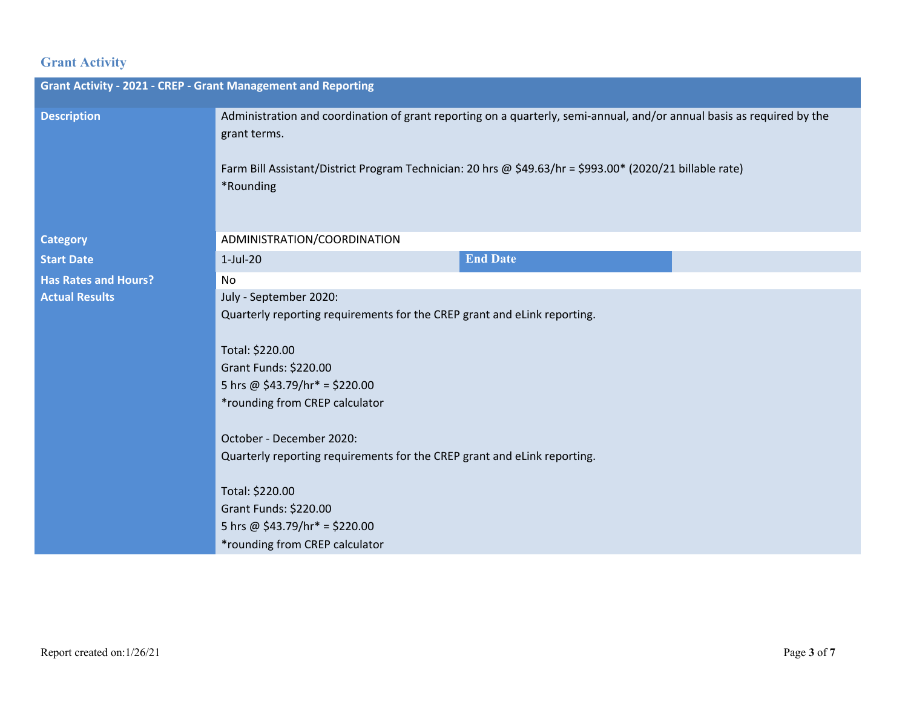### **Grant Activity**

| <b>Grant Activity - 2021 - CREP - Grant Management and Reporting</b> |                                                                                                                                                                                                                                                                                                                                                                                                                                            |  |  |  |
|----------------------------------------------------------------------|--------------------------------------------------------------------------------------------------------------------------------------------------------------------------------------------------------------------------------------------------------------------------------------------------------------------------------------------------------------------------------------------------------------------------------------------|--|--|--|
| <b>Description</b>                                                   | Administration and coordination of grant reporting on a quarterly, semi-annual, and/or annual basis as required by the<br>grant terms.<br>Farm Bill Assistant/District Program Technician: 20 hrs @ \$49.63/hr = \$993.00* (2020/21 billable rate)<br>*Rounding                                                                                                                                                                            |  |  |  |
| <b>Category</b>                                                      | ADMINISTRATION/COORDINATION                                                                                                                                                                                                                                                                                                                                                                                                                |  |  |  |
| <b>Start Date</b>                                                    | <b>End Date</b><br>$1-Jul-20$                                                                                                                                                                                                                                                                                                                                                                                                              |  |  |  |
| <b>Has Rates and Hours?</b>                                          | No                                                                                                                                                                                                                                                                                                                                                                                                                                         |  |  |  |
| <b>Actual Results</b>                                                | July - September 2020:<br>Quarterly reporting requirements for the CREP grant and eLink reporting.<br>Total: \$220.00<br>Grant Funds: \$220.00<br>5 hrs @ $$43.79/hr* = $220.00$<br>*rounding from CREP calculator<br>October - December 2020:<br>Quarterly reporting requirements for the CREP grant and eLink reporting.<br>Total: \$220.00<br>Grant Funds: \$220.00<br>5 hrs @ $$43.79/hr* = $220.00$<br>*rounding from CREP calculator |  |  |  |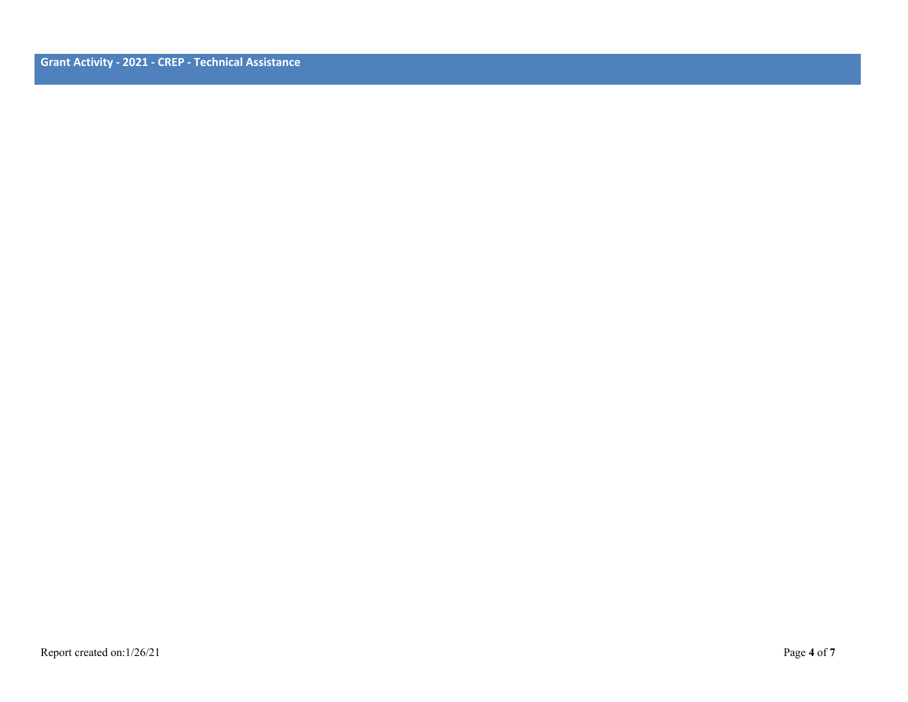**Grant Activity - 2021 - CREP - Technical Assistance**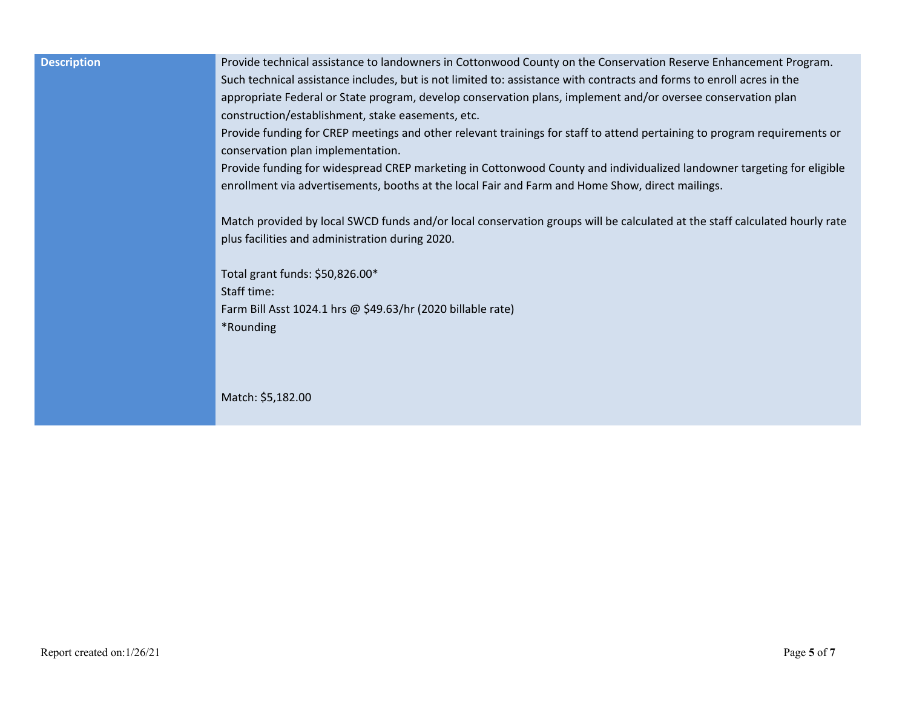| <b>Description</b> | Provide technical assistance to landowners in Cottonwood County on the Conservation Reserve Enhancement Program.<br>Such technical assistance includes, but is not limited to: assistance with contracts and forms to enroll acres in the<br>appropriate Federal or State program, develop conservation plans, implement and/or oversee conservation plan<br>construction/establishment, stake easements, etc.<br>Provide funding for CREP meetings and other relevant trainings for staff to attend pertaining to program requirements or<br>conservation plan implementation.<br>Provide funding for widespread CREP marketing in Cottonwood County and individualized landowner targeting for eligible<br>enrollment via advertisements, booths at the local Fair and Farm and Home Show, direct mailings. |
|--------------------|---------------------------------------------------------------------------------------------------------------------------------------------------------------------------------------------------------------------------------------------------------------------------------------------------------------------------------------------------------------------------------------------------------------------------------------------------------------------------------------------------------------------------------------------------------------------------------------------------------------------------------------------------------------------------------------------------------------------------------------------------------------------------------------------------------------|
|                    | Match provided by local SWCD funds and/or local conservation groups will be calculated at the staff calculated hourly rate<br>plus facilities and administration during 2020.                                                                                                                                                                                                                                                                                                                                                                                                                                                                                                                                                                                                                                 |
|                    | Total grant funds: \$50,826.00*<br>Staff time:<br>Farm Bill Asst 1024.1 hrs @ \$49.63/hr (2020 billable rate)<br>*Rounding                                                                                                                                                                                                                                                                                                                                                                                                                                                                                                                                                                                                                                                                                    |
|                    | Match: \$5,182.00                                                                                                                                                                                                                                                                                                                                                                                                                                                                                                                                                                                                                                                                                                                                                                                             |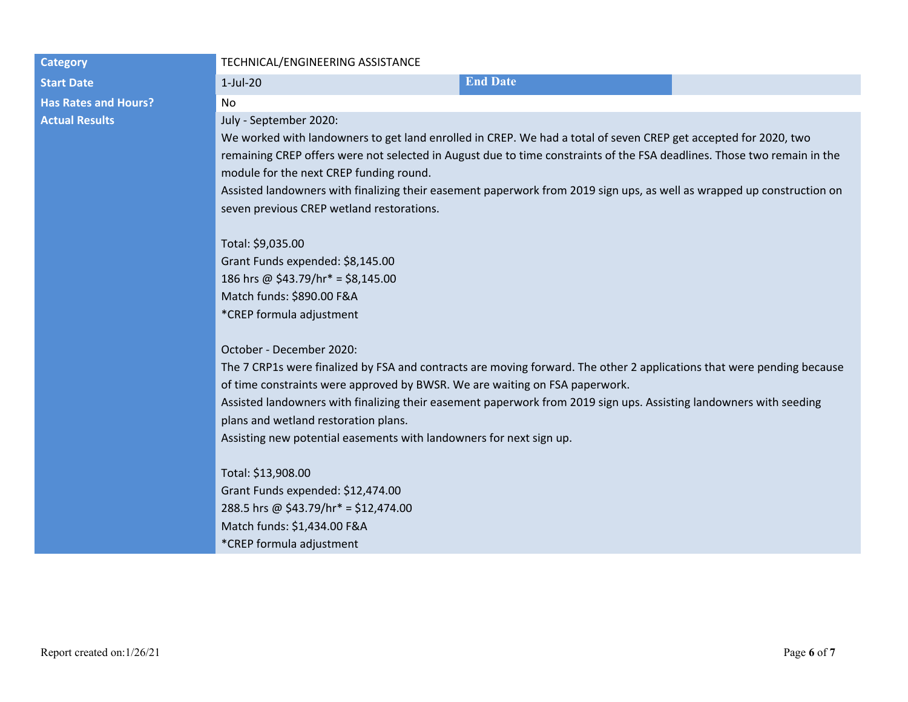| <b>Category</b>             | TECHNICAL/ENGINEERING ASSISTANCE                                                                                                                                                                                                                                                                                                                                                                                                                                                                                                                                                                                                                                   |                 |  |  |
|-----------------------------|--------------------------------------------------------------------------------------------------------------------------------------------------------------------------------------------------------------------------------------------------------------------------------------------------------------------------------------------------------------------------------------------------------------------------------------------------------------------------------------------------------------------------------------------------------------------------------------------------------------------------------------------------------------------|-----------------|--|--|
| <b>Start Date</b>           | $1-Jul-20$                                                                                                                                                                                                                                                                                                                                                                                                                                                                                                                                                                                                                                                         | <b>End Date</b> |  |  |
| <b>Has Rates and Hours?</b> | No                                                                                                                                                                                                                                                                                                                                                                                                                                                                                                                                                                                                                                                                 |                 |  |  |
| <b>Actual Results</b>       | July - September 2020:<br>We worked with landowners to get land enrolled in CREP. We had a total of seven CREP get accepted for 2020, two<br>remaining CREP offers were not selected in August due to time constraints of the FSA deadlines. Those two remain in the<br>module for the next CREP funding round.<br>Assisted landowners with finalizing their easement paperwork from 2019 sign ups, as well as wrapped up construction on<br>seven previous CREP wetland restorations.<br>Total: \$9,035.00<br>Grant Funds expended: \$8,145.00<br>186 hrs @ \$43.79/hr* = \$8,145.00                                                                              |                 |  |  |
|                             | Match funds: \$890.00 F&A<br>*CREP formula adjustment<br>October - December 2020:<br>The 7 CRP1s were finalized by FSA and contracts are moving forward. The other 2 applications that were pending because<br>of time constraints were approved by BWSR. We are waiting on FSA paperwork.<br>Assisted landowners with finalizing their easement paperwork from 2019 sign ups. Assisting landowners with seeding<br>plans and wetland restoration plans.<br>Assisting new potential easements with landowners for next sign up.<br>Total: \$13,908.00<br>Grant Funds expended: \$12,474.00<br>288.5 hrs @ \$43.79/hr* = \$12,474.00<br>Match funds: \$1,434.00 F&A |                 |  |  |
|                             | *CREP formula adjustment                                                                                                                                                                                                                                                                                                                                                                                                                                                                                                                                                                                                                                           |                 |  |  |